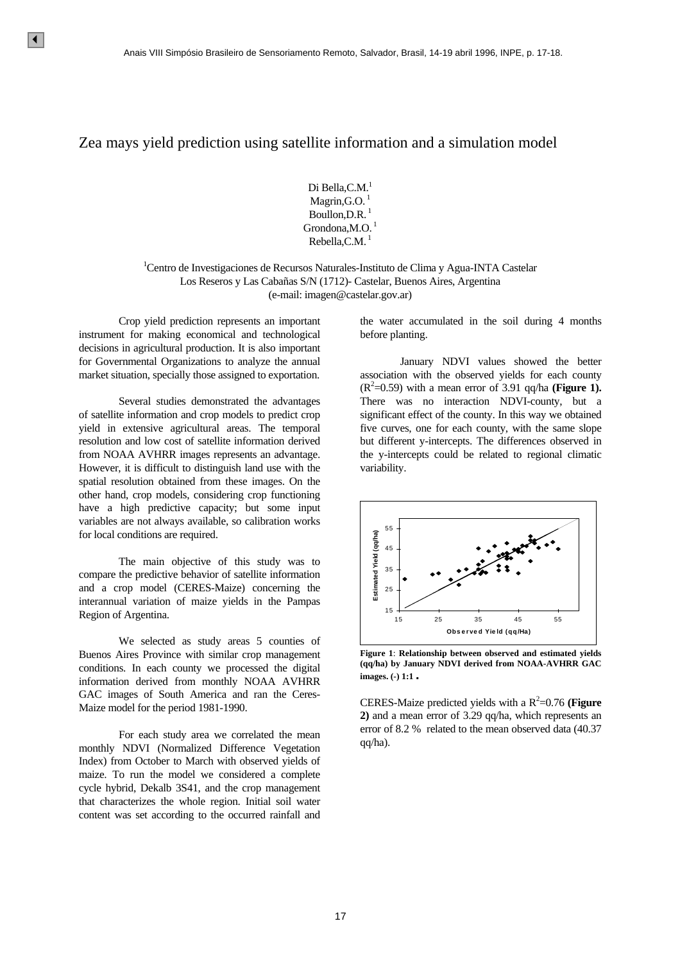## Zea mays yield prediction using satellite information and a simulation model

Di Bella, C.M.<sup>1</sup> Magrin, G.O. $<sup>1</sup>$ </sup> Boullon, D.R.  $<sup>1</sup>$ </sup> Grondona, M.O.<sup>1</sup> Rebella, C.M. $<sup>1</sup>$ </sup>

<sup>1</sup>Centro de Investigaciones de Recursos Naturales-Instituto de Clima y Agua-INTA Castelar Los Reseros y Las Cabañas S/N (1712)- Castelar, Buenos Aires, Argentina (e-mail: imagen@castelar.gov.ar)

 Crop yield prediction represents an important instrument for making economical and technological decisions in agricultural production. It is also important for Governmental Organizations to analyze the annual market situation, specially those assigned to exportation.

 Several studies demonstrated the advantages of satellite information and crop models to predict crop yield in extensive agricultural areas. The temporal resolution and low cost of satellite information derived from NOAA AVHRR images represents an advantage. However, it is difficult to distinguish land use with the spatial resolution obtained from these images. On the other hand, crop models, considering crop functioning have a high predictive capacity; but some input variables are not always available, so calibration works for local conditions are required. 4<br>
Annia VIII Simpsius Brasileiro de Sensoramento Remo<br>
27 C20. mays yield prediction using statellite in<br>
DREM:<br>
DREM:<br>
DREM:<br>
DREM:<br>
DREM:<br>
DREM:<br>
DREM:<br>
DREM:<br>
DREM:<br>
DREM:<br>
DREM:<br>
Corrollous Rebella,<br>
Corrollous Rebel

 The main objective of this study was to compare the predictive behavior of satellite information and a crop model (CERES-Maize) concerning the interannual variation of maize yields in the Pampas Region of Argentina.

 We selected as study areas 5 counties of Buenos Aires Province with similar crop management conditions. In each county we processed the digital information derived from monthly NOAA AVHRR GAC images of South America and ran the Ceres-Maize model for the period 1981-1990.

 For each study area we correlated the mean monthly NDVI (Normalized Difference Vegetation Index) from October to March with observed yields of maize. To run the model we considered a complete cycle hybrid, Dekalb 3S41, and the crop management that characterizes the whole region. Initial soil water content was set according to the occurred rainfall and

the water accumulated in the soil during 4 months before planting.

 January NDVI values showed the better association with the observed yields for each county  $(R^2=0.59)$  with a mean error of 3.91 qq/ha (**Figure 1**). There was no interaction NDVI-county, but a significant effect of the county. In this way we obtained five curves, one for each county, with the same slope but different y-intercepts. The differences observed in the y-intercepts could be related to regional climatic variability.



**Figure 1**: **Relationship between observed and estimated yields (qq/ha) by January NDVI derived from NOAA-AVHRR GAC images. (-) 1:1.**

CERES-Maize predicted yields with a  $R^2$ =0.76 (**Figure 2)** and a mean error of 3.29 qq/ha, which represents an error of 8.2 % related to the mean observed data (40.37 qq/ha).